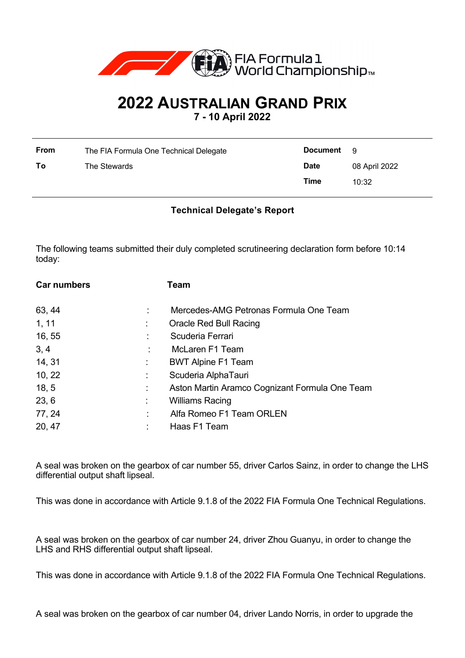

## **2022 AUSTRALIAN GRAND PRIX**

**7 - 10 April 2022**

| <b>From</b> | The FIA Formula One Technical Delegate | <b>Document</b> | - 9           |
|-------------|----------------------------------------|-----------------|---------------|
| To          | The Stewards                           | <b>Date</b>     | 08 April 2022 |
|             |                                        | Time            | 10:32         |

## **Technical Delegate's Report**

The following teams submitted their duly completed scrutineering declaration form before 10:14 today:

| <b>Car numbers</b> |    | Team                                           |
|--------------------|----|------------------------------------------------|
| 63, 44             |    | Mercedes-AMG Petronas Formula One Team         |
| 1, 11              |    | Oracle Red Bull Racing                         |
| 16, 55             |    | Scuderia Ferrari                               |
| 3, 4               |    | McLaren F1 Team                                |
| 14, 31             | ÷. | <b>BWT Alpine F1 Team</b>                      |
| 10, 22             | ÷. | Scuderia AlphaTauri                            |
| 18, 5              | ÷  | Aston Martin Aramco Cognizant Formula One Team |
| 23, 6              |    | <b>Williams Racing</b>                         |
| 77, 24             | ÷  | Alfa Romeo F1 Team ORLEN                       |
| 20, 47             |    | Haas F1 Team                                   |

A seal was broken on the gearbox of car number 55, driver Carlos Sainz, in order to change the LHS differential output shaft lipseal.

This was done in accordance with Article 9.1.8 of the 2022 FIA Formula One Technical Regulations.

A seal was broken on the gearbox of car number 24, driver Zhou Guanyu, in order to change the LHS and RHS differential output shaft lipseal.

This was done in accordance with Article 9.1.8 of the 2022 FIA Formula One Technical Regulations.

A seal was broken on the gearbox of car number 04, driver Lando Norris, in order to upgrade the